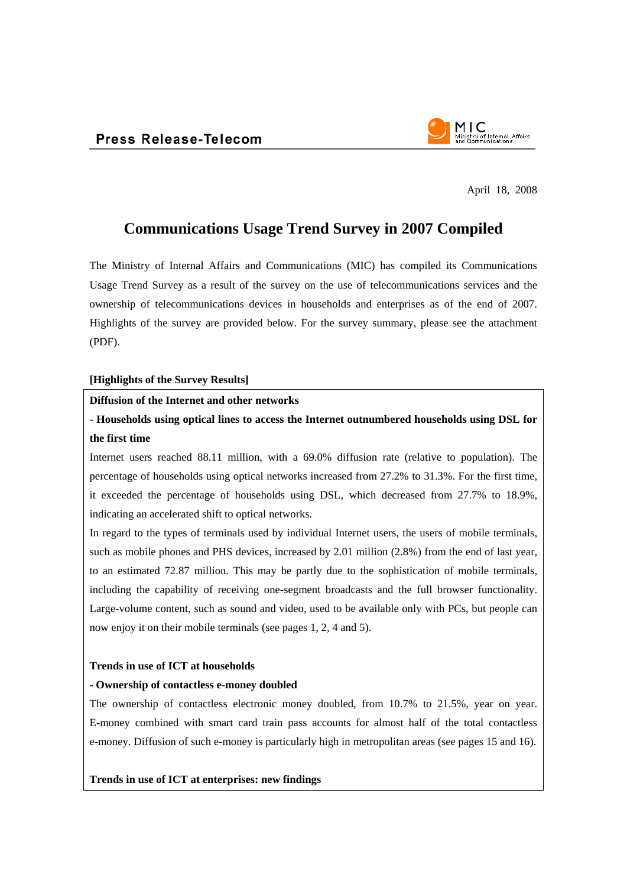

April 18, 2008

## **Communications Usage Trend Survey in 2007 Compiled**

The Ministry of Internal Affairs and Communications (MIC) has compiled its Communications Usage Trend Survey as a result of the survey on the use of telecommunications services and the ownership of telecommunications devices in households and enterprises as of the end of 2007. Highlights of the survey are provided below. For the survey summary, please see the attachment (PDF).

#### **[Highlights of the Survey Results]**

#### **Diffusion of the Internet and other networks**

## **- Households using optical lines to access the Internet outnumbered households using DSL for the first time**

Internet users reached 88.11 million, with a 69.0% diffusion rate (relative to population). The percentage of households using optical networks increased from 27.2% to 31.3%. For the first time, it exceeded the percentage of households using DSL, which decreased from 27.7% to 18.9%, indicating an accelerated shift to optical networks.

In regard to the types of terminals used by individual Internet users, the users of mobile terminals, such as mobile phones and PHS devices, increased by 2.01 million (2.8%) from the end of last year, to an estimated 72.87 million. This may be partly due to the sophistication of mobile terminals, including the capability of receiving one-segment broadcasts and the full browser functionality. Large-volume content, such as sound and video, used to be available only with PCs, but people can now enjoy it on their mobile terminals (see pages 1, 2, 4 and 5).

#### **Trends in use of ICT at households**

#### **- Ownership of contactless e-money doubled**

The ownership of contactless electronic money doubled, from 10.7% to 21.5%, year on year. E-money combined with smart card train pass accounts for almost half of the total contactless e-money. Diffusion of such e-money is particularly high in metropolitan areas (see pages 15 and 16).

**Trends in use of ICT at enterprises: new findings**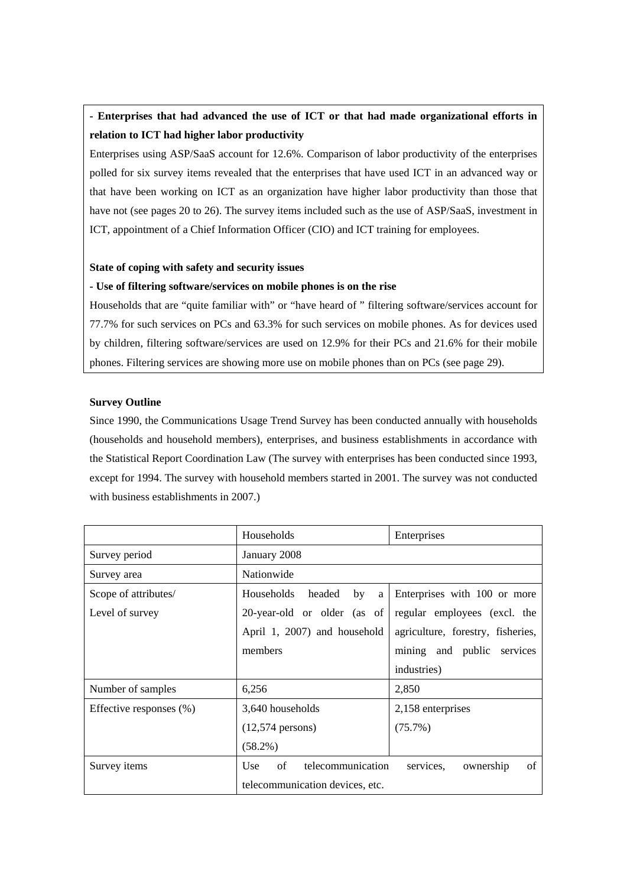## **- Enterprises that had advanced the use of ICT or that had made organizational efforts in relation to ICT had higher labor productivity**

Enterprises using ASP/SaaS account for 12.6%. Comparison of labor productivity of the enterprises polled for six survey items revealed that the enterprises that have used ICT in an advanced way or that have been working on ICT as an organization have higher labor productivity than those that have not (see pages 20 to 26). The survey items included such as the use of ASP/SaaS, investment in ICT, appointment of a Chief Information Officer (CIO) and ICT training for employees.

#### **State of coping with safety and security issues**

#### **- Use of filtering software/services on mobile phones is on the rise**

Households that are "quite familiar with" or "have heard of " filtering software/services account for 77.7% for such services on PCs and 63.3% for such services on mobile phones. As for devices used by children, filtering software/services are used on 12.9% for their PCs and 21.6% for their mobile phones. Filtering services are showing more use on mobile phones than on PCs (see page 29).

#### **Survey Outline**

Since 1990, the Communications Usage Trend Survey has been conducted annually with households (households and household members), enterprises, and business establishments in accordance with the Statistical Report Coordination Law (The survey with enterprises has been conducted since 1993, except for 1994. The survey with household members started in 2001. The survey was not conducted with business establishments in 2007.)

|                            | Households                                 | Enterprises                       |  |
|----------------------------|--------------------------------------------|-----------------------------------|--|
| Survey period              | January 2008                               |                                   |  |
| Survey area                | Nationwide                                 |                                   |  |
| Scope of attributes/       | Households<br>headed<br>by<br>a            | Enterprises with 100 or more      |  |
| Level of survey            | 20-year-old or older (as of                | regular employees (excl. the      |  |
|                            | April 1, 2007) and household               | agriculture, forestry, fisheries, |  |
|                            | members                                    | mining and public services        |  |
|                            |                                            | industries)                       |  |
| Number of samples          | 6,256                                      | 2,850                             |  |
| Effective responses $(\%)$ | 3,640 households                           | 2,158 enterprises                 |  |
|                            | $(12,574 \text{ persons})$                 | $(75.7\%)$                        |  |
|                            | $(58.2\%)$                                 |                                   |  |
| Survey items               | of<br>telecommunication<br>U <sub>se</sub> | of<br>services.<br>ownership      |  |
|                            | telecommunication devices, etc.            |                                   |  |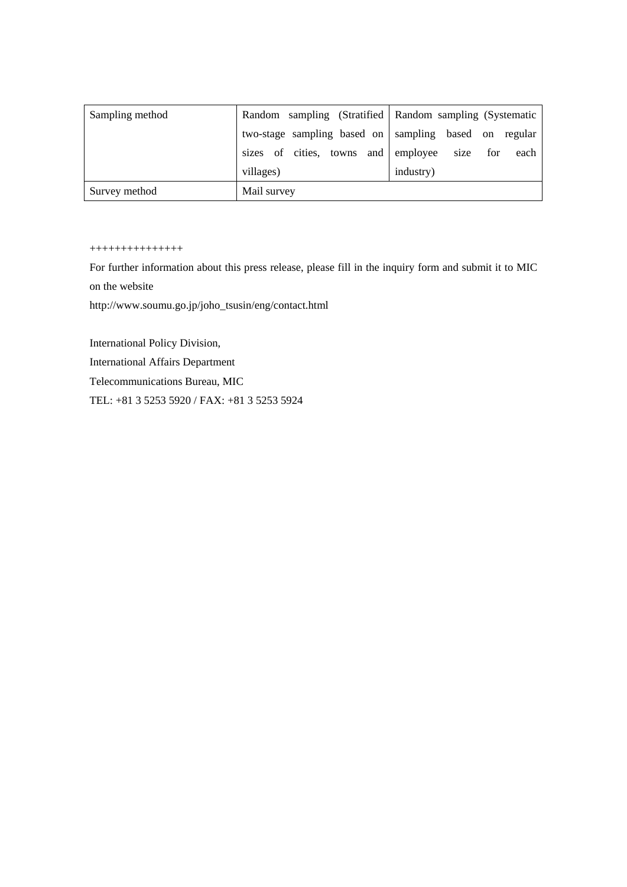| Sampling method |                                          | Random sampling (Stratified   Random sampling (Systematic |
|-----------------|------------------------------------------|-----------------------------------------------------------|
|                 |                                          | two-stage sampling based on sampling based on regular     |
|                 | sizes of cities, towns and employee size | for<br>each                                               |
|                 | villages)                                | industry)                                                 |
| Survey method   | Mail survey                              |                                                           |

#### +++++++++++++++

For further information about this press release, please fill in the inquiry form and submit it to MIC on the website

http://www.soumu.go.jp/joho\_tsusin/eng/contact.html

International Policy Division,

International Affairs Department

Telecommunications Bureau, MIC

TEL: +81 3 5253 5920 / FAX: +81 3 5253 5924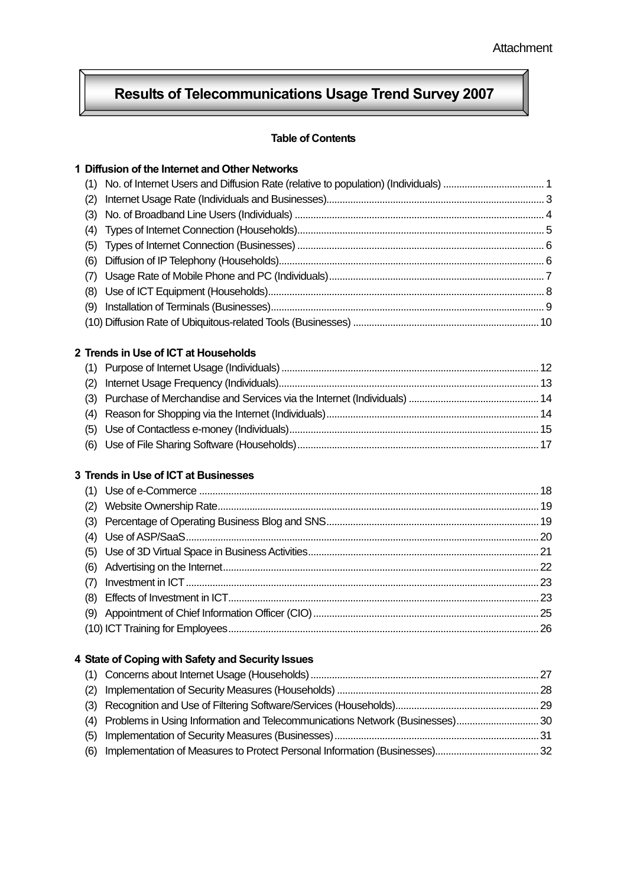#### Ŕ l **Results of Telecommunications Usage Trend Survey 2007**

## **Table of Contents**

Ī

|     | 1 Diffusion of the Internet and Other Networks                               |  |
|-----|------------------------------------------------------------------------------|--|
| (1) |                                                                              |  |
| (2) |                                                                              |  |
| (3) |                                                                              |  |
| (4) |                                                                              |  |
| (5) |                                                                              |  |
| (6) |                                                                              |  |
| (7) |                                                                              |  |
| (8) |                                                                              |  |
| (9) |                                                                              |  |
|     |                                                                              |  |
|     | 2 Trends in Use of ICT at Households                                         |  |
| (1) |                                                                              |  |
| (2) |                                                                              |  |
| (3) |                                                                              |  |
| (4) |                                                                              |  |
| (5) |                                                                              |  |
| (6) |                                                                              |  |
|     | 3 Trends in Use of ICT at Businesses                                         |  |
| (1) |                                                                              |  |
| (2) |                                                                              |  |
| (3) |                                                                              |  |
| (4) |                                                                              |  |
| (5) |                                                                              |  |
| (6) |                                                                              |  |
| (7) |                                                                              |  |
| (8) |                                                                              |  |
| (9) |                                                                              |  |
|     |                                                                              |  |
|     | 4 State of Coping with Safety and Security Issues                            |  |
| (1) |                                                                              |  |
| (2) |                                                                              |  |
| (3) |                                                                              |  |
| (4) | Problems in Using Information and Telecommunications Network (Businesses) 30 |  |
| (5) |                                                                              |  |
| (6) |                                                                              |  |
|     |                                                                              |  |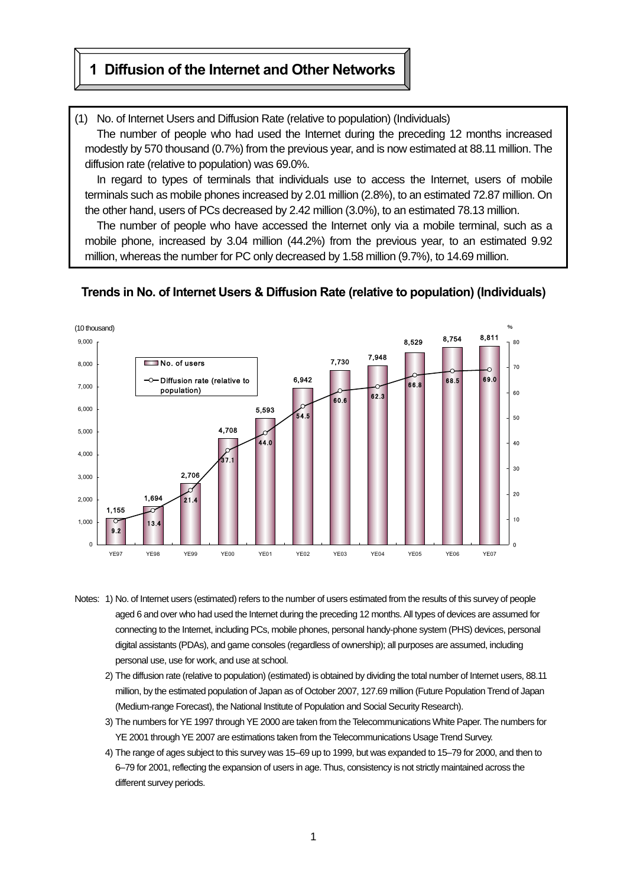## **1 Diffusion of the Internet and Other Networks**

 $\mathsf{L}$ 

(1) No. of Internet Users and Diffusion Rate (relative to population) (Individuals)

The number of people who had used the Internet during the preceding 12 months increased modestly by 570 thousand (0.7%) from the previous year, and is now estimated at 88.11 million. The diffusion rate (relative to population) was 69.0%.

In regard to types of terminals that individuals use to access the Internet, users of mobile terminals such as mobile phones increased by 2.01 million (2.8%), to an estimated 72.87 million. On the other hand, users of PCs decreased by 2.42 million (3.0%), to an estimated 78.13 million.

The number of people who have accessed the Internet only via a mobile terminal, such as a mobile phone, increased by 3.04 million (44.2%) from the previous year, to an estimated 9.92 million, whereas the number for PC only decreased by 1.58 million (9.7%), to 14.69 million.



#### **Trends in No. of Internet Users & Diffusion Rate (relative to population) (Individuals)**

- Notes: 1) No. of Internet users (estimated) refers to the number of users estimated from the results of this survey of people aged 6 and over who had used the Internet during the preceding 12 months. All types of devices are assumed for connecting to the Internet, including PCs, mobile phones, personal handy-phone system (PHS) devices, personal digital assistants (PDAs), and game consoles (regardless of ownership); all purposes are assumed, including personal use, use for work, and use at school.
	- 2) The diffusion rate (relative to population) (estimated) is obtained by dividing the total number of Internet users, 88.11 million, by the estimated population of Japan as of October 2007, 127.69 million (Future Population Trend of Japan (Medium-range Forecast), the National Institute of Population and Social Security Research).
	- 3) The numbers for YE 1997 through YE 2000 are taken from the Telecommunications White Paper. The numbers for YE 2001 through YE 2007 are estimations taken from the Telecommunications Usage Trend Survey.
	- 4) The range of ages subject to this survey was 15–69 up to 1999, but was expanded to 15–79 for 2000, and then to 6–79 for 2001, reflecting the expansion of users in age. Thus, consistency is not strictly maintained across the different survey periods.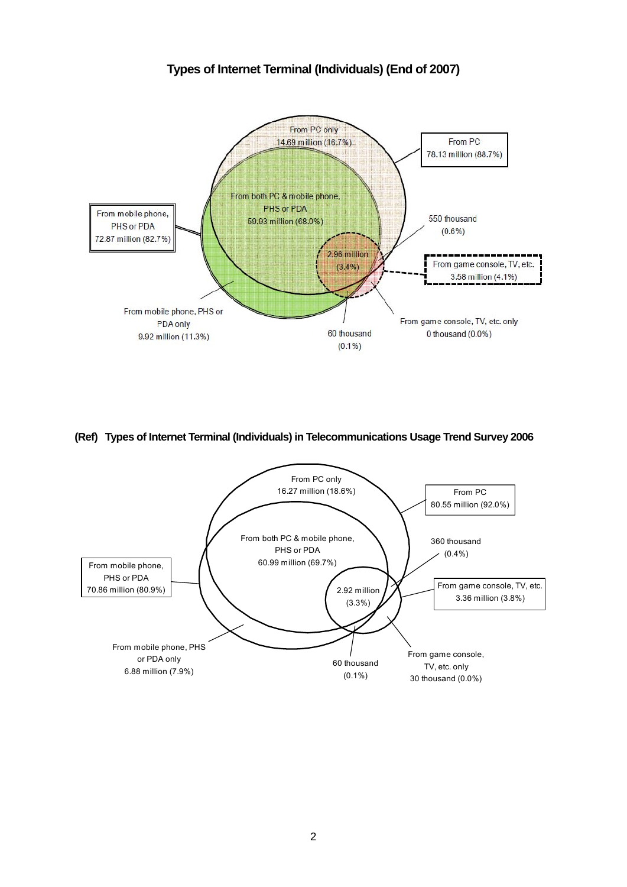## **Types of Internet Terminal (Individuals) (End of 2007)**



#### **(Ref) Types of Internet Terminal (Individuals) in Telecommunications Usage Trend Survey 2006**

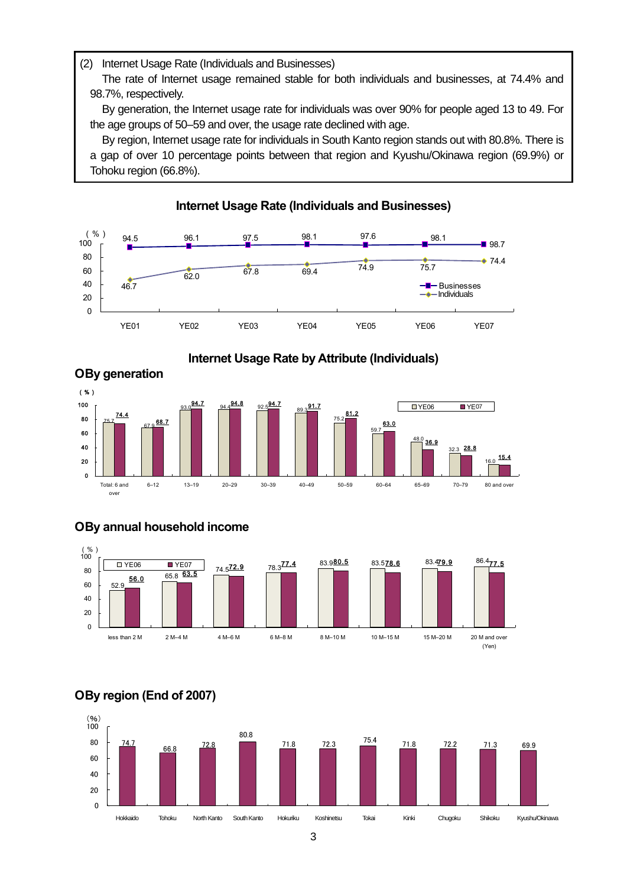#### (2) Internet Usage Rate (Individuals and Businesses)

The rate of Internet usage remained stable for both individuals and businesses, at 74.4% and 98.7%, respectively.

By generation, the Internet usage rate for individuals was over 90% for people aged 13 to 49. For the age groups of 50–59 and over, the usage rate declined with age.

By region, Internet usage rate for individuals in South Kanto region stands out with 80.8%. There is a gap of over 10 percentage points between that region and Kyushu/Okinawa region (69.9%) or Tohoku region (66.8%).

**Internet Usage Rate (Individuals and Businesses)** 

**Internet Usage Rate by Attribute (Individuals)** 

#### 94.5 96.1 97.5 98.1 97.6 98.1 ■ 98.7 46.7 62.0 67.8 69.4 74.9 75.7  $\bullet$  74.4  $\overline{0}$ 20 40 60 80 100 YE01 YE02 YE03 YE04 YE05 YE06 YE07 (%) **Businesses** Individual Individuals



## **О By annual household income**



## **О By region (End of 2007)**

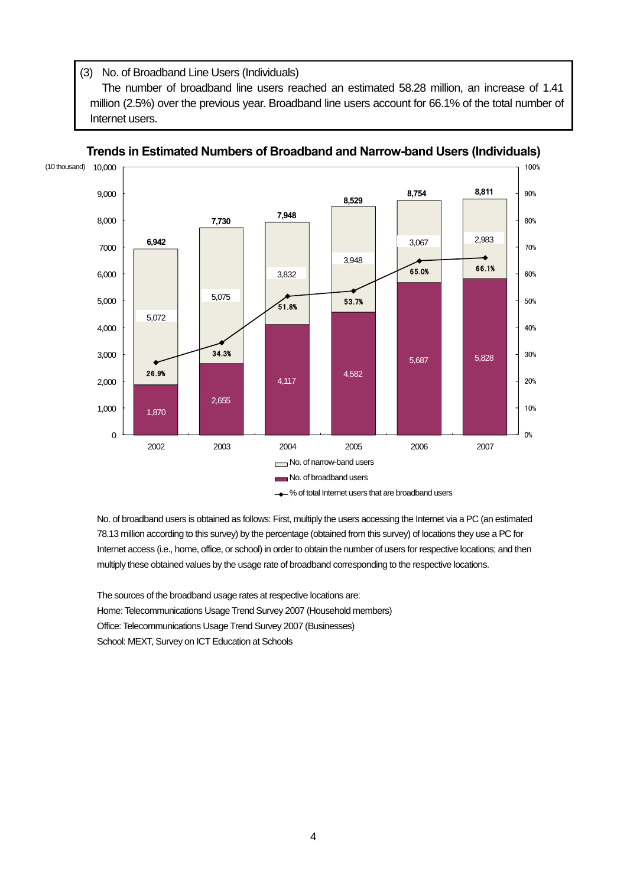(3) No. of Broadband Line Users (Individuals)

The number of broadband line users reached an estimated 58.28 million, an increase of 1.41 million (2.5%) over the previous year. Broadband line users account for 66.1% of the total number of Internet users.



Ξ **Trends in Estimated Numbers of Broadband and Narrow-band Users (Individuals)** 

No. of broadband users is obtained as follows: First, multiply the users accessing the Internet via a PC (an estimated 78.13 million according to this survey) by the percentage (obtained from this survey) of locations they use a PC for Internet access (i.e., home, office, or school) in order to obtain the number of users for respective locations; and then multiply these obtained values by the usage rate of broadband corresponding to the respective locations.

The sources of the broadband usage rates at respective locations are: Home: Telecommunications Usage Trend Survey 2007 (Household members) Office: Telecommunications Usage Trend Survey 2007 (Businesses) School: MEXT, Survey on ICT Education at Schools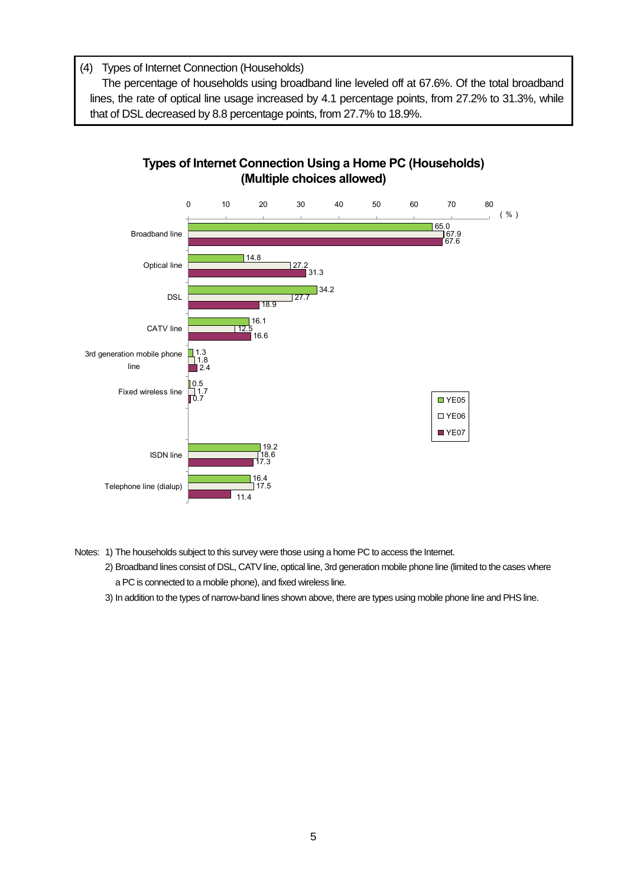(4) Types of Internet Connection (Households)

The percentage of households using broadband line leveled off at 67.6%. Of the total broadband lines, the rate of optical line usage increased by 4.1 percentage points, from 27.2% to 31.3%, while that of DSL decreased by 8.8 percentage points, from 27.7% to 18.9%.





- Notes: 1) The households subject to this survey were those using a home PC to access the Internet.
	- 2) Broadband lines consist of DSL, CATV line, optical line, 3rd generation mobile phone line (limited to the cases where a PC is connected to a mobile phone), and fixed wireless line.
	- 3) In addition to the types of narrow-band lines shown above, there are types using mobile phone line and PHS line.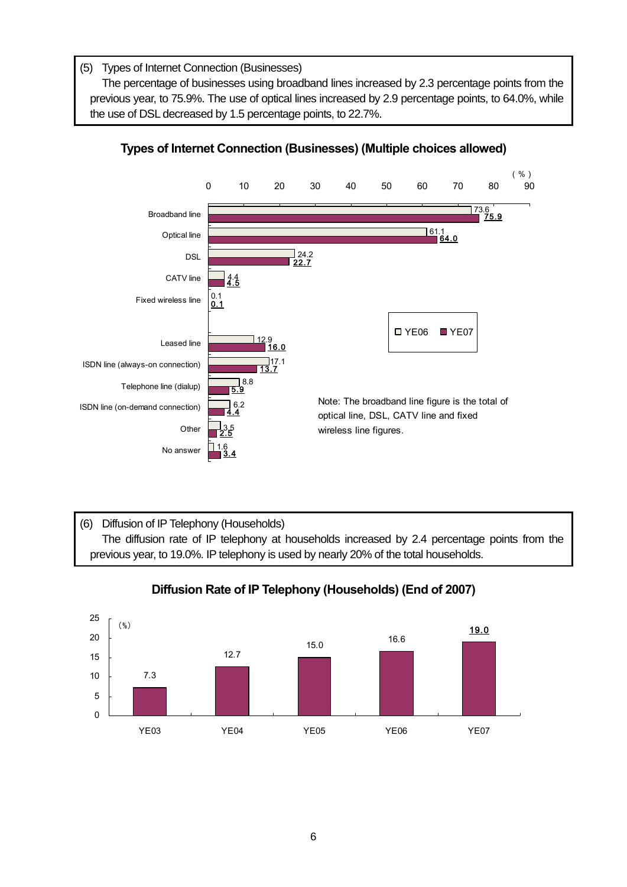(5) Types of Internet Connection (Businesses)

The percentage of businesses using broadband lines increased by 2.3 percentage points from the previous year, to 75.9%. The use of optical lines increased by 2.9 percentage points, to 64.0%, while the use of DSL decreased by 1.5 percentage points, to 22.7%.



## **Types of Internet Connection (Businesses) (Multiple choices allowed)**

(6) Diffusion of IP Telephony (Households) The diffusion rate of IP telephony at households increased by 2.4 percentage points from the previous year, to 19.0%. IP telephony is used by nearly 20% of the total households.



## **Diffusion Rate of IP Telephony (Households) (End of 2007)**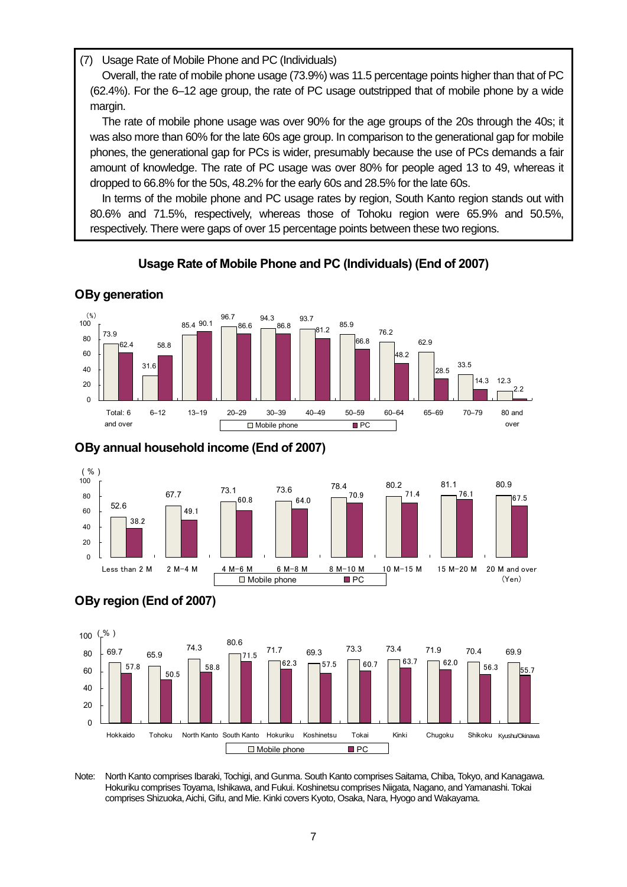(7) Usage Rate of Mobile Phone and PC (Individuals)

Overall, the rate of mobile phone usage (73.9%) was 11.5 percentage points higher than that of PC (62.4%). For the 6–12 age group, the rate of PC usage outstripped that of mobile phone by a wide margin.

The rate of mobile phone usage was over 90% for the age groups of the 20s through the 40s; it was also more than 60% for the late 60s age group. In comparison to the generational gap for mobile phones, the generational gap for PCs is wider, presumably because the use of PCs demands a fair amount of knowledge. The rate of PC usage was over 80% for people aged 13 to 49, whereas it dropped to 66.8% for the 50s, 48.2% for the early 60s and 28.5% for the late 60s.

In terms of the mobile phone and PC usage rates by region, South Kanto region stands out with 80.6% and 71.5%, respectively, whereas those of Tohoku region were 65.9% and 50.5%, respectively. There were gaps of over 15 percentage points between these two regions.

## **Usage Rate of Mobile Phone and PC (Individuals) (End of 2007)**



## **О By generation**

 $\overline{\phantom{a}}$ 

## **О By annual household income (End of 2007)**





Note: North Kanto comprises Ibaraki, Tochigi, and Gunma. South Kanto comprises Saitama, Chiba, Tokyo, and Kanagawa. Hokuriku comprises Toyama, Ishikawa, and Fukui. Koshinetsu comprises Niigata, Nagano, and Yamanashi. Tokai comprises Shizuoka, Aichi, Gifu, and Mie. Kinki covers Kyoto, Osaka, Nara, Hyogo and Wakayama.

# **О By region (End of 2007)**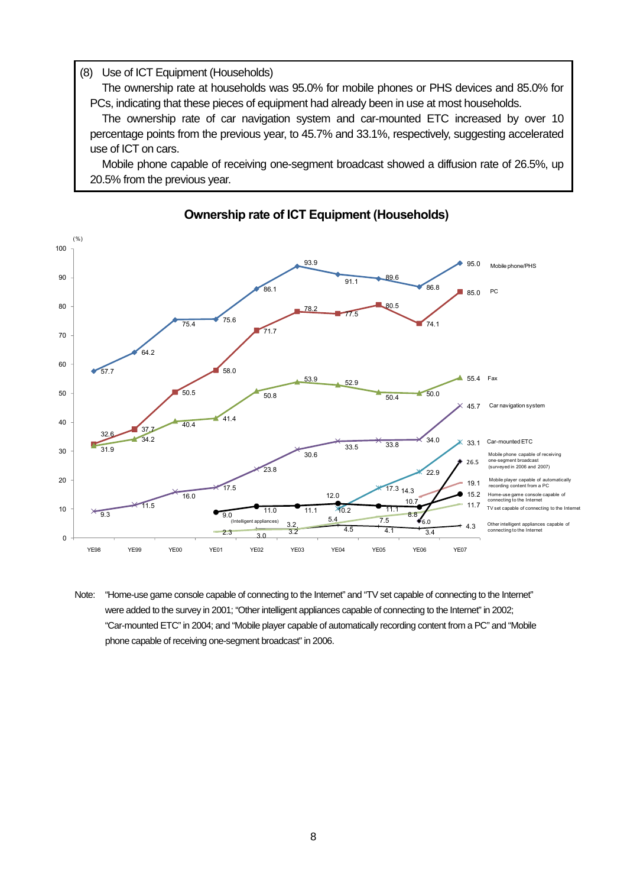#### (8) Use of ICT Equipment (Households)

The ownership rate at households was 95.0% for mobile phones or PHS devices and 85.0% for PCs, indicating that these pieces of equipment had already been in use at most households.

The ownership rate of car navigation system and car-mounted ETC increased by over 10 percentage points from the previous year, to 45.7% and 33.1%, respectively, suggesting accelerated use of ICT on cars.

Mobile phone capable of receiving one-segment broadcast showed a diffusion rate of 26.5%, up 20.5% from the previous year.



## **Ownership rate of ICT Equipment (Households)**

Note: "Home-use game console capable of connecting to the Internet" and "TV set capable of connecting to the Internet" were added to the survey in 2001; "Other intelligent appliances capable of connecting to the Internet" in 2002; "Car-mounted ETC" in 2004; and "Mobile player capable of automatically recording content from a PC" and "Mobile phone capable of receiving one-segment broadcast" in 2006.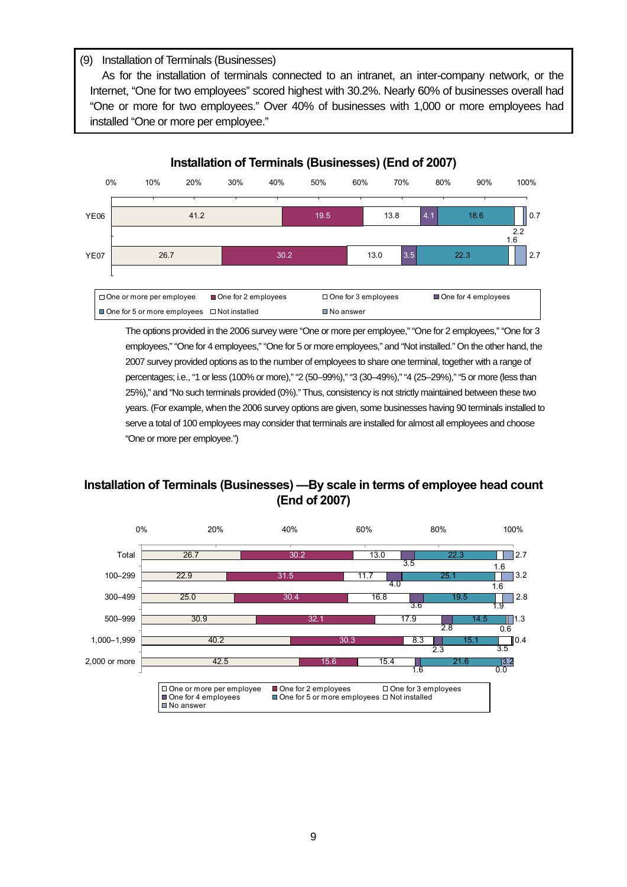#### (9) Installation of Terminals (Businesses)

 $\overline{\phantom{a}}$ 

Ļ

As for the installation of terminals connected to an intranet, an inter-company network, or the Internet, "One for two employees" scored highest with 30.2%. Nearly 60% of businesses overall had "One or more for two employees." Over 40% of businesses with 1,000 or more employees had installed "One or more per employee."



The options provided in the 2006 survey were "One or more per employee," "One for 2 employees," "One for 3 employees," "One for 4 employees," "One for 5 or more employees," and "Not installed." On the other hand, the 2007 survey provided options as to the number of employees to share one terminal, together with a range of percentages; i.e., "1 or less (100% or more)," "2 (50–99%)," "3 (30–49%)," "4 (25–29%)," "5 or more (less than 25%)," and "No such terminals provided (0%)." Thus, consistency is not strictly maintained between these two years. (For example, when the 2006 survey options are given, some businesses having 90 terminals installed to serve a total of 100 employees may consider that terminals are installed for almost all employees and choose "One or more per employee.")

## **Installation of Terminals (Businesses) —By scale in terms of employee head count (End of 2007)**

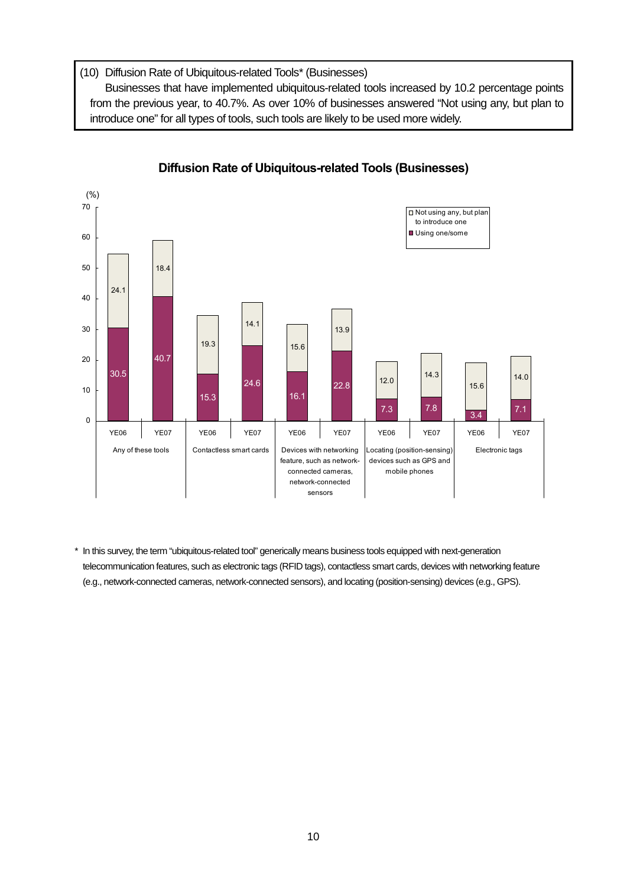(10) Diffusion Rate of Ubiquitous-related Tools\* (Businesses)

Businesses that have implemented ubiquitous-related tools increased by 10.2 percentage points from the previous year, to 40.7%. As over 10% of businesses answered "Not using any, but plan to introduce one" for all types of tools, such tools are likely to be used more widely.



## **Diffusion Rate of Ubiquitous-related Tools (Businesses)**

\* In this survey, the term "ubiquitous-related tool" generically means business tools equipped with next-generation telecommunication features, such as electronic tags (RFID tags), contactless smart cards, devices with networking feature (e.g., network-connected cameras, network-connected sensors), and locating (position-sensing) devices (e.g., GPS).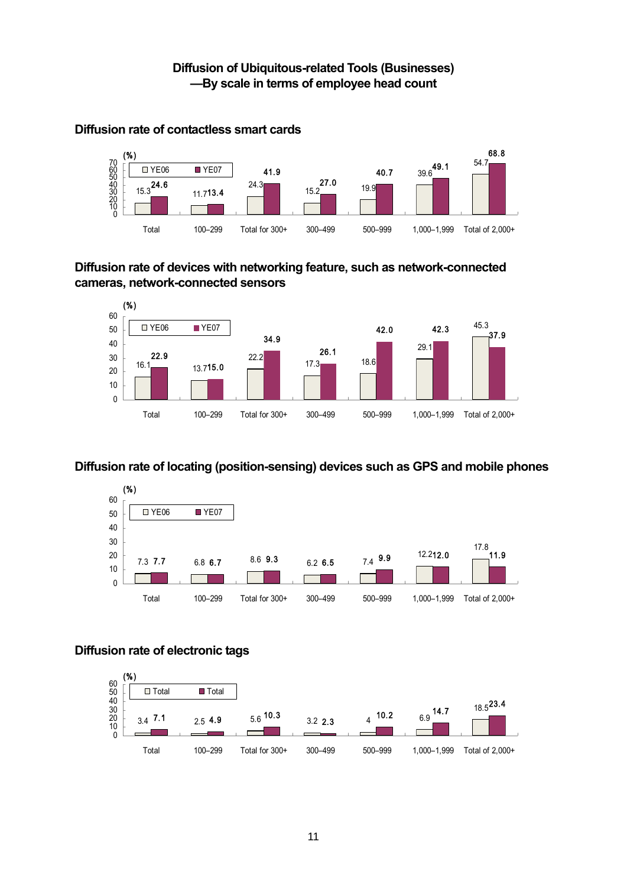

## **Diffusion rate of contactless smart cards**

**Diffusion rate of devices with networking feature, such as network-connected cameras, network-connected sensors** 



## **Diffusion rate of locating (position-sensing) devices such as GPS and mobile phones**



## **Diffusion rate of electronic tags**

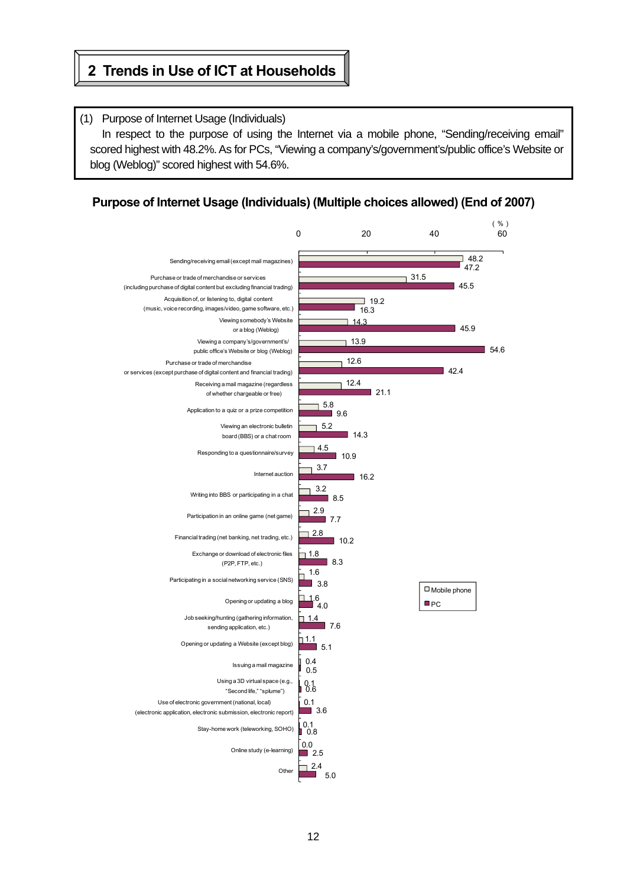## **2 Trends in Use of ICT at Households**

 $\mathbf{r}$ 

## (1) Purpose of Internet Usage (Individuals) In respect to the purpose of using the Internet via a mobile phone, "Sending/receiving email" scored highest with 48.2%. As for PCs, "Viewing a company's/government's/public office's Website or blog (Weblog)" scored highest with 54.6%.

## **Purpose of Internet Usage (Individuals) (Multiple choices allowed) (End of 2007)**

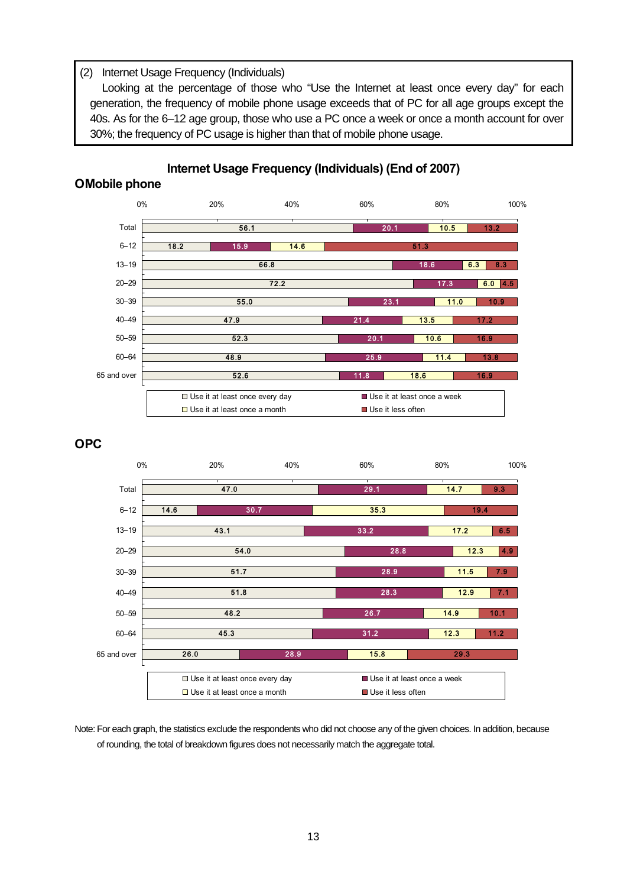## (2) Internet Usage Frequency (Individuals)

Looking at the percentage of those who "Use the Internet at least once every day" for each generation, the frequency of mobile phone usage exceeds that of PC for all age groups except the 40s. As for the 6–12 age group, those who use a PC once a week or once a month account for over 30%; the frequency of PC usage is higher than that of mobile phone usage.



## **Internet Usage Frequency (Individuals) (End of 2007) О Mobile phone**

#### **О PC**



Note: For each graph, the statistics exclude the respondents who did not choose any of the given choices. In addition, because of rounding, the total of breakdown figures does not necessarily match the aggregate total.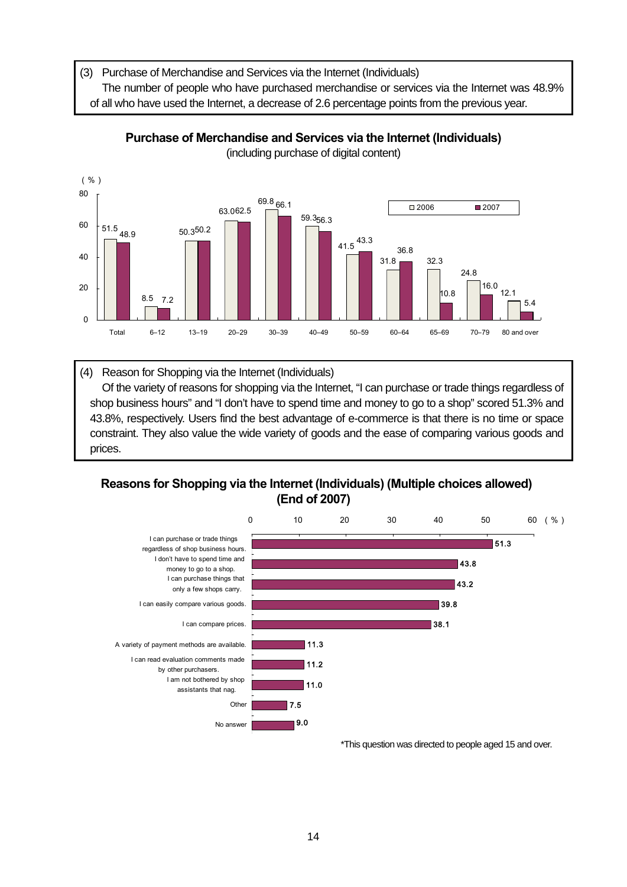(3) Purchase of Merchandise and Services via the Internet (Individuals)

The number of people who have purchased merchandise or services via the Internet was 48.9%

of all who have used the Internet, a decrease of 2.6 percentage points from the previous year.



## **Purchase of Merchandise and Services via the Internet (Individuals)**

(including purchase of digital content)

(4) Reason for Shopping via the Internet (Individuals) Of the variety of reasons for shopping via the Internet, "I can purchase or trade things regardless of shop business hours" and "I don't have to spend time and money to go to a shop" scored 51.3% and 43.8%, respectively. Users find the best advantage of e-commerce is that there is no time or space constraint. They also value the wide variety of goods and the ease of comparing various goods and prices.

## **Reasons for Shopping via the Internet (Individuals) (Multiple choices allowed) (End of 2007)**



\*This question was directed to people aged 15 and over.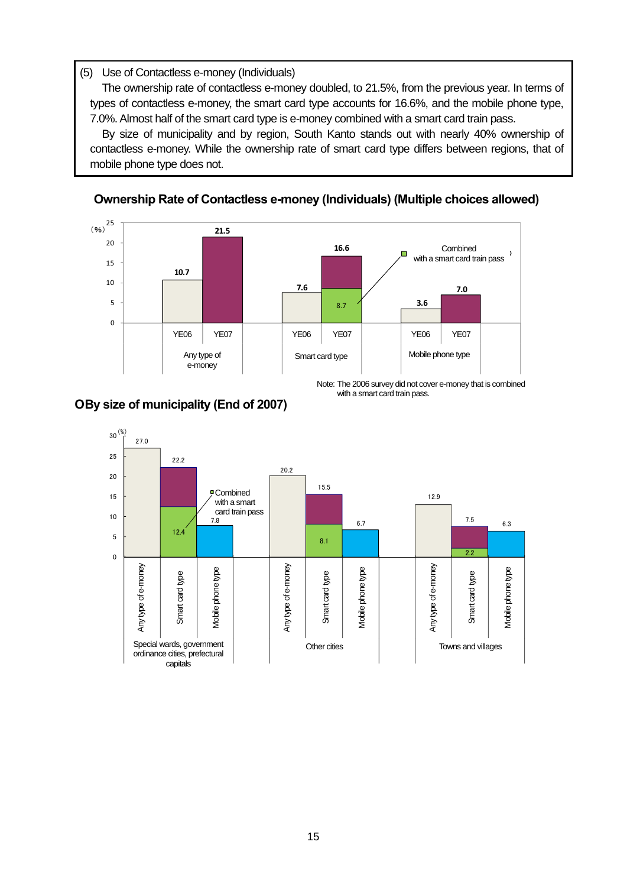## (5) Use of Contactless e-money (Individuals)

The ownership rate of contactless e-money doubled, to 21.5%, from the previous year. In terms of types of contactless e-money, the smart card type accounts for 16.6%, and the mobile phone type, 7.0%. Almost half of the smart card type is e-money combined with a smart card train pass.

By size of municipality and by region, South Kanto stands out with nearly 40% ownership of contactless e-money. While the ownership rate of smart card type differs between regions, that of mobile phone type does not.



## **Ownership Rate of Contactless e-money (Individuals) (Multiple choices allowed)**



with a smart card train pass. Note: The 2006 survey did not cover e-money that is combined

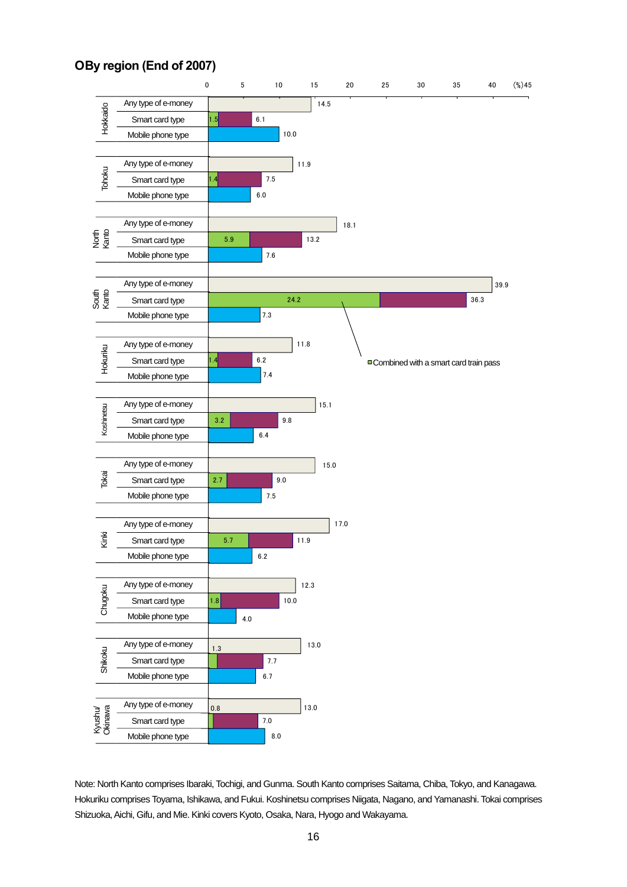## **О By region (End of 2007)**



Note: North Kanto comprises Ibaraki, Tochigi, and Gunma. South Kanto comprises Saitama, Chiba, Tokyo, and Kanagawa. Hokuriku comprises Toyama, Ishikawa, and Fukui. Koshinetsu comprises Niigata, Nagano, and Yamanashi. Tokai comprises Shizuoka, Aichi, Gifu, and Mie. Kinki covers Kyoto, Osaka, Nara, Hyogo and Wakayama.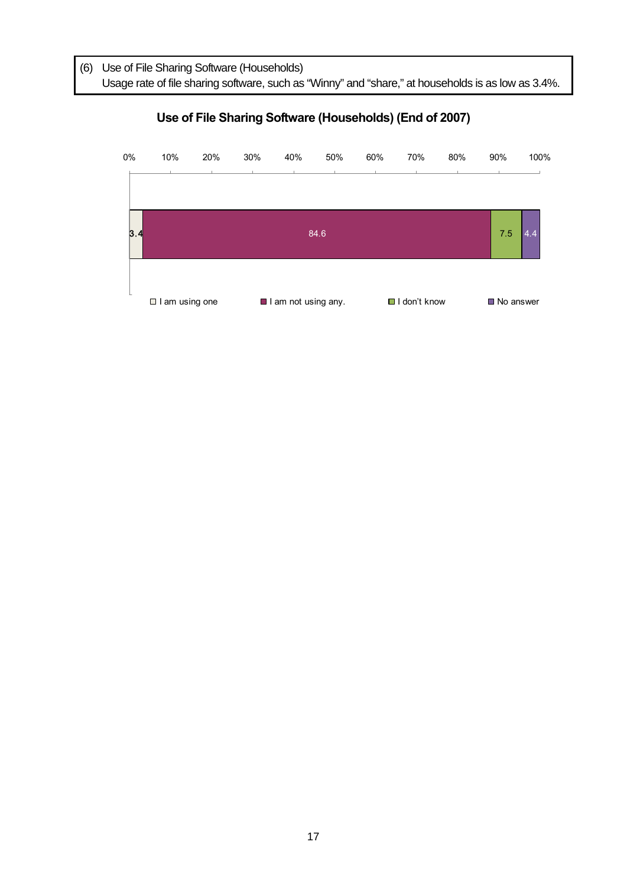(6) Use of File Sharing Software (Households) Usage rate of file sharing software, such as "Winny" and "share," at households is as low as 3.4%.



## **Use of File Sharing Software (Households) (End of 2007)**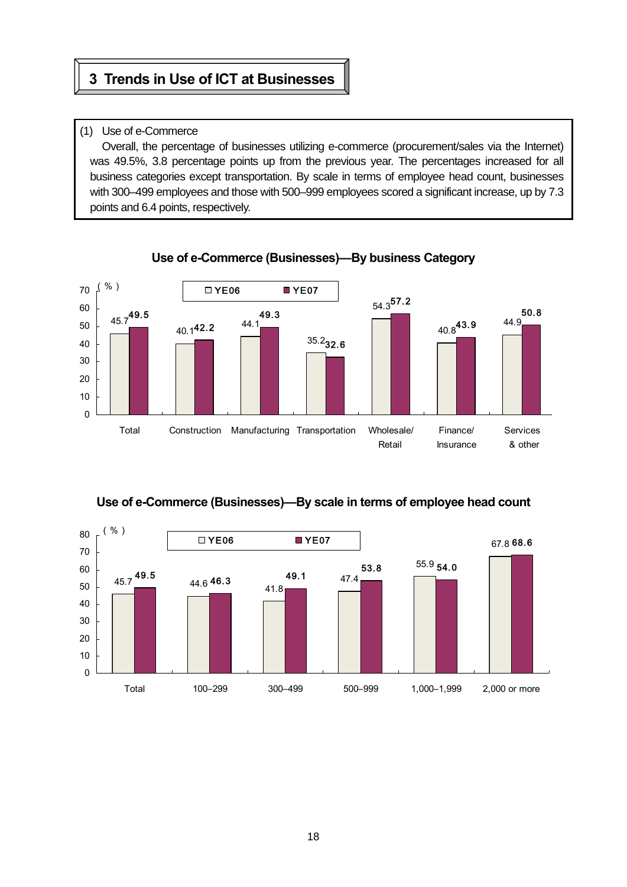## **3 Trends in Use of ICT at Businesses**

## (1) Use of e-Commerce

Ñ  $\mathsf{I}$ ⇂ Γ

> Overall, the percentage of businesses utilizing e-commerce (procurement/sales via the Internet) was 49.5%, 3.8 percentage points up from the previous year. The percentages increased for all business categories except transportation. By scale in terms of employee head count, businesses with 300–499 employees and those with 500–999 employees scored a significant increase, up by 7.3 points and 6.4 points, respectively.



## **Use of e-Commerce (Businesses)—By business Category**



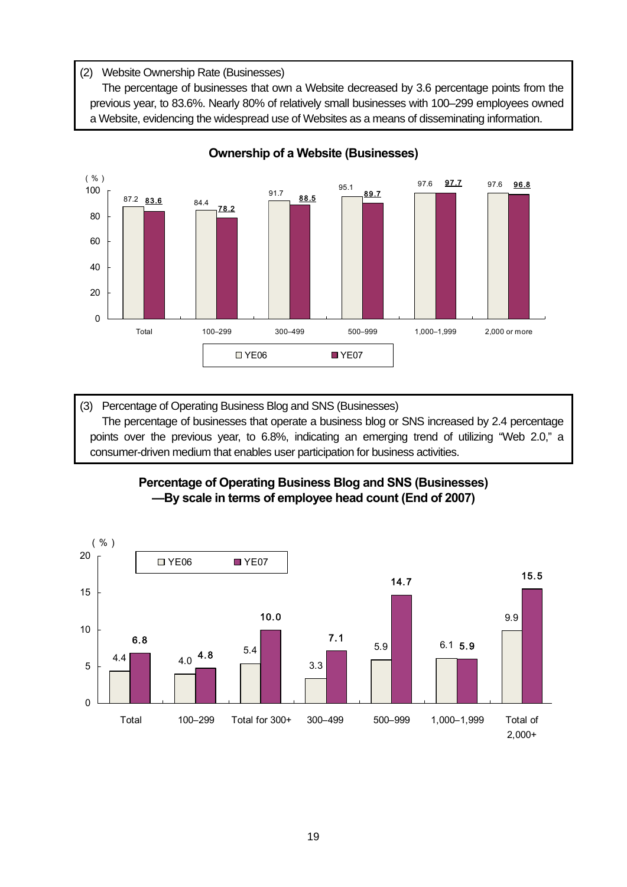## (2) Website Ownership Rate (Businesses)

The percentage of businesses that own a Website decreased by 3.6 percentage points from the previous year, to 83.6%. Nearly 80% of relatively small businesses with 100–299 employees owned a Website, evidencing the widespread use of Websites as a means of disseminating information.



## **Ownership of a Website (Businesses)**

(3) Percentage of Operating Business Blog and SNS (Businesses) The percentage of businesses that operate a business blog or SNS increased by 2.4 percentage points over the previous year, to 6.8%, indicating an emerging trend of utilizing "Web 2.0," a consumer-driven medium that enables user participation for business activities.

## **Percentage of Operating Business Blog and SNS (Businesses) —By scale in terms of employee head count (End of 2007)**

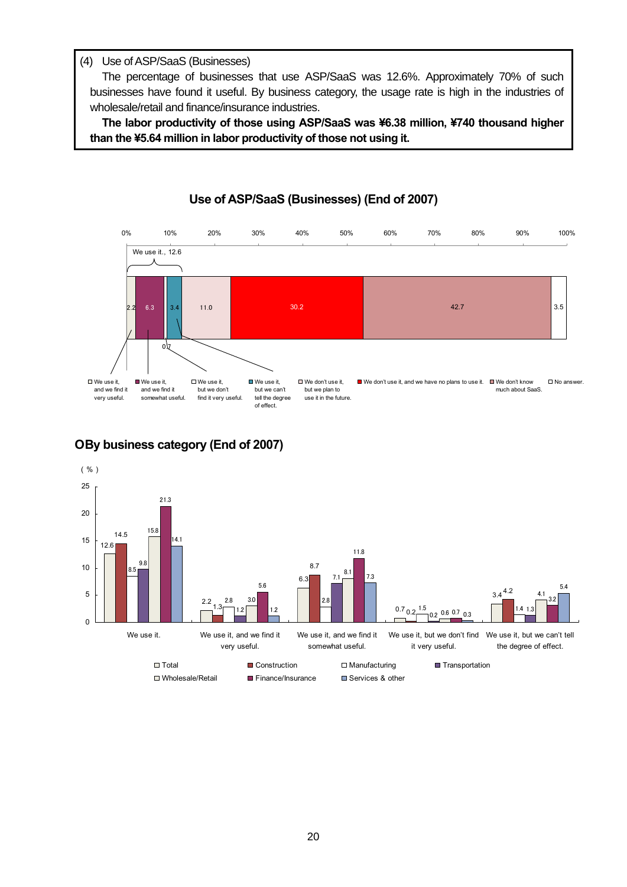#### (4) Use of ASP/SaaS (Businesses)

The percentage of businesses that use ASP/SaaS was 12.6%. Approximately 70% of such businesses have found it useful. By business category, the usage rate is high in the industries of wholesale/retail and finance/insurance industries.

**The labor productivity of those using ASP/SaaS was ¥6.38 million, ¥740 thousand higher than the ¥5.64 million in labor productivity of those not using it.** 



## **Use of ASP/SaaS (Businesses) (End of 2007)**

## **О By business category (End of 2007)**

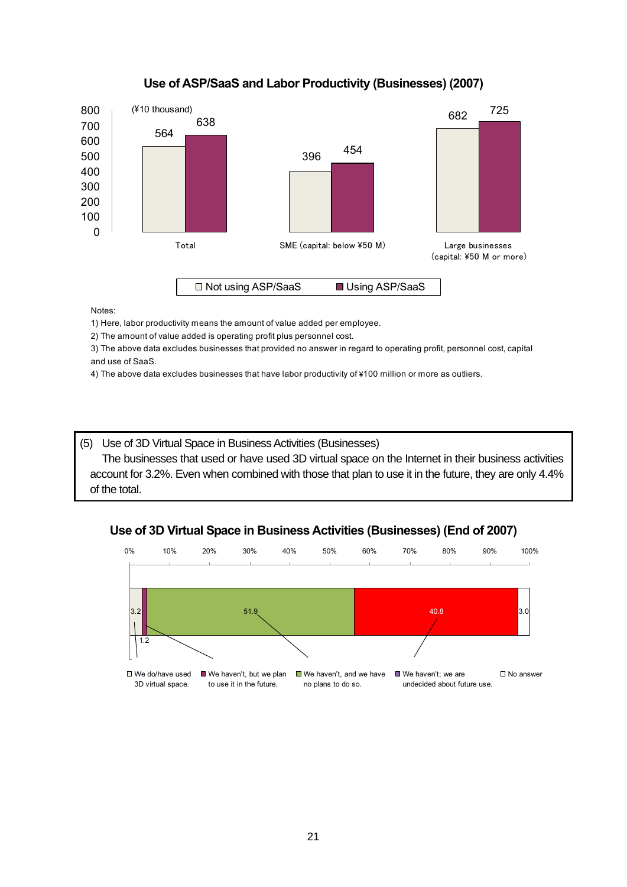## **Use of ASP/SaaS and Labor Productivity (Businesses) (2007)**



Notes:

1) Here, labor productivity means the amount of value added per employee.

2) The amount of value added is operating profit plus personnel cost.

3) The above data excludes businesses that provided no answer in regard to operating profit, personnel cost, capital and use of SaaS.

4) The above data excludes businesses that have labor productivity of ¥100 million or more as outliers.

(5) Use of 3D Virtual Space in Business Activities (Businesses) The businesses that used or have used 3D virtual space on the Internet in their business activities account for 3.2%. Even when combined with those that plan to use it in the future, they are only 4.4% of the total.

## **Use of 3D Virtual Space in Business Activities (Businesses) (End of 2007)**

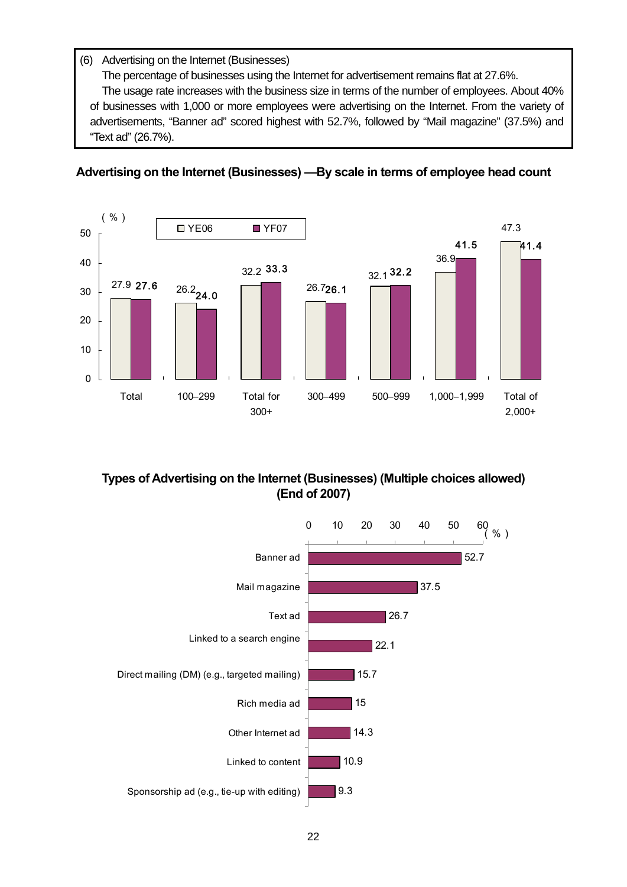## (6) Advertising on the Internet (Businesses)

The percentage of businesses using the Internet for advertisement remains flat at 27.6%.

The usage rate increases with the business size in terms of the number of employees. About 40% of businesses with 1,000 or more employees were advertising on the Internet. From the variety of advertisements, "Banner ad" scored highest with 52.7%, followed by "Mail magazine" (37.5%) and "Text ad" (26.7%).

## **Advertising on the Internet (Businesses) —By scale in terms of employee head count**



## **Types of Advertising on the Internet (Businesses) (Multiple choices allowed) (End of 2007)**

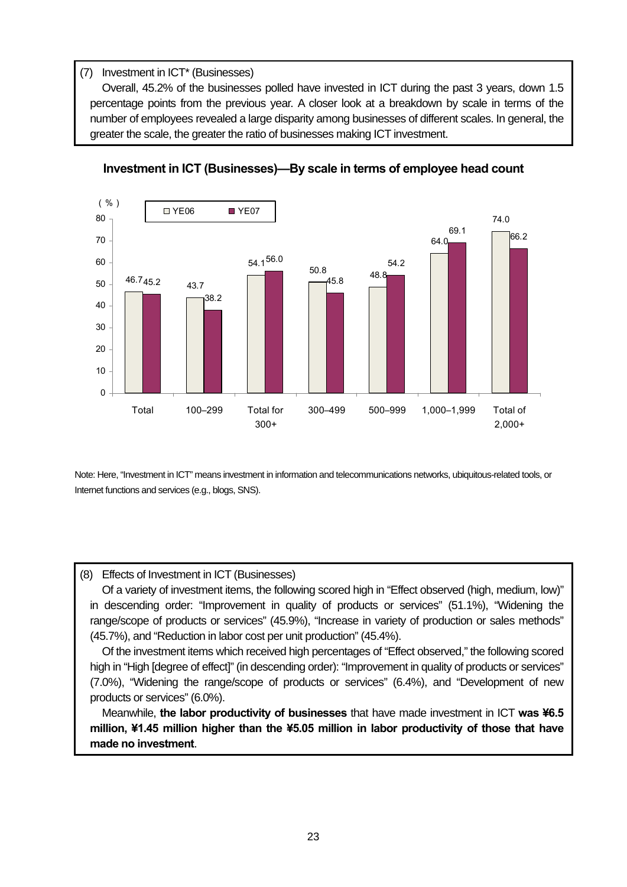## (7) Investment in ICT\* (Businesses)

Overall, 45.2% of the businesses polled have invested in ICT during the past 3 years, down 1.5 percentage points from the previous year. A closer look at a breakdown by scale in terms of the number of employees revealed a large disparity among businesses of different scales. In general, the greater the scale, the greater the ratio of businesses making ICT investment.



## **Investment in ICT (Businesses)—By scale in terms of employee head count**

Note: Here, "Investment in ICT" means investment in information and telecommunications networks, ubiquitous-related tools, or Internet functions and services (e.g., blogs, SNS).

#### (8) Effects of Investment in ICT (Businesses)

Of a variety of investment items, the following scored high in "Effect observed (high, medium, low)" in descending order: "Improvement in quality of products or services" (51.1%), "Widening the range/scope of products or services" (45.9%), "Increase in variety of production or sales methods" (45.7%), and "Reduction in labor cost per unit production" (45.4%).

Of the investment items which received high percentages of "Effect observed," the following scored high in "High [degree of effect]" (in descending order): "Improvement in quality of products or services" (7.0%), "Widening the range/scope of products or services" (6.4%), and "Development of new products or services" (6.0%).

Meanwhile, **the labor productivity of businesses** that have made investment in ICT **was ¥6.5 million, ¥1.45 million higher than the ¥5.05 million in labor productivity of those that have made no investment**.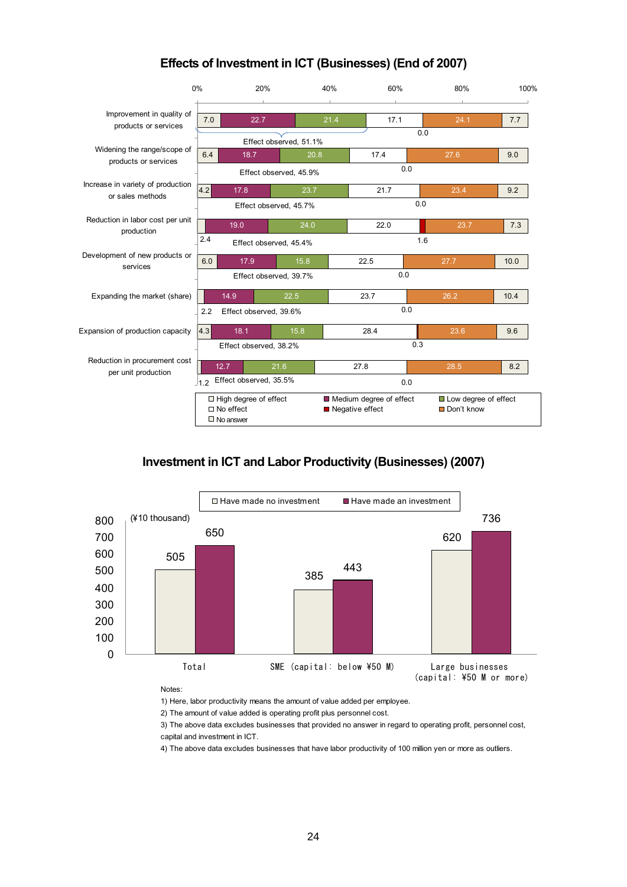

## **Effects of Investment in ICT (Businesses) (End of 2007)**

## **Investment in ICT and Labor Productivity (Businesses) (2007)**



Notes:

1) Here, labor productivity means the amount of value added per employee.

2) The amount of value added is operating profit plus personnel cost.

3) The above data excludes businesses that provided no answer in regard to operating profit, personnel cost, capital and investment in ICT.

4) The above data excludes businesses that have labor productivity of 100 million yen or more as outliers.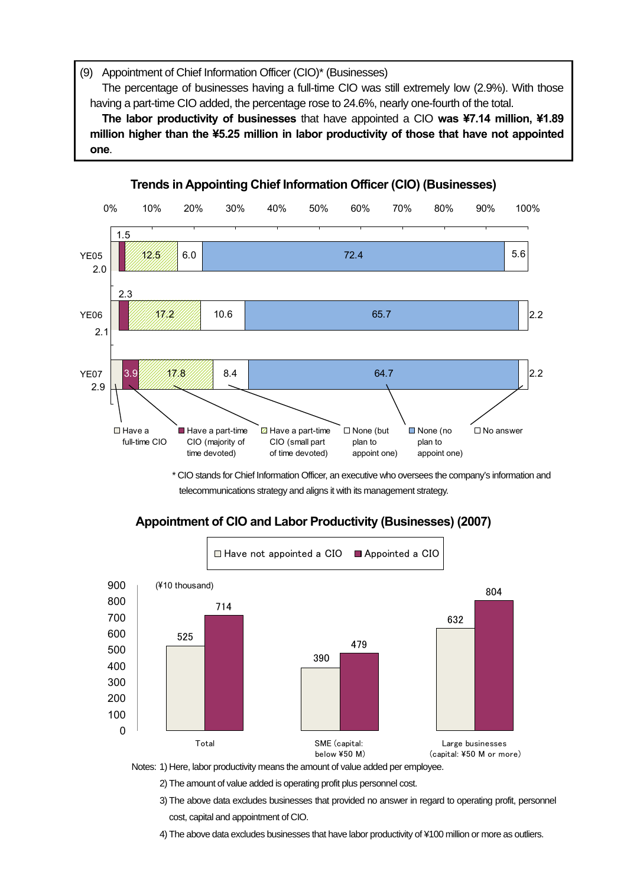(9) Appointment of Chief Information Officer (CIO)\* (Businesses)

The percentage of businesses having a full-time CIO was still extremely low (2.9%). With those having a part-time CIO added, the percentage rose to 24.6%, nearly one-fourth of the total.

**The labor productivity of businesses** that have appointed a CIO **was ¥7.14 million, ¥1.89 million higher than the ¥5.25 million in labor productivity of those that have not appointed one**.



\* CIO stands for Chief Information Officer, an executive who oversees the company's information and telecommunications strategy and aligns it with its management strategy.



## **Appointment of CIO and Labor Productivity (Businesses) (2007)**

Notes: 1) Here, labor productivity means the amount of value added per employee.

2) The amount of value added is operating profit plus personnel cost.

 3) The above data excludes businesses that provided no answer in regard to operating profit, personnel cost, capital and appointment of CIO.

4) The above data excludes businesses that have labor productivity of ¥100 million or more as outliers.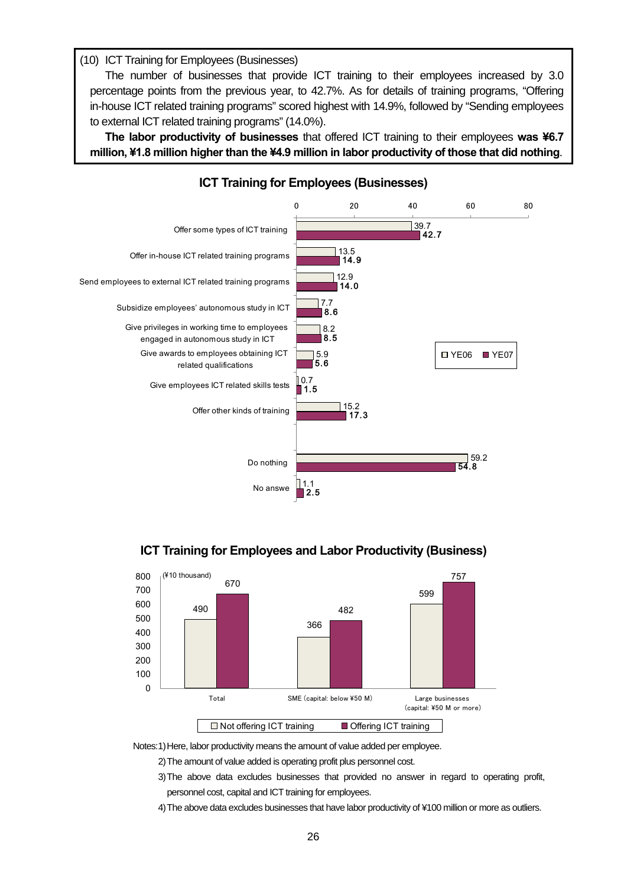(10) ICT Training for Employees (Businesses)

 $\overline{\phantom{a}}$ 

The number of businesses that provide ICT training to their employees increased by 3.0 percentage points from the previous year, to 42.7%. As for details of training programs, "Offering in-house ICT related training programs" scored highest with 14.9%, followed by "Sending employees to external ICT related training programs" (14.0%).

**The labor productivity of businesses** that offered ICT training to their employees **was ¥6.7 million, ¥1.8 million higher than the ¥4.9 million in labor productivity of those that did nothing**.



**ICT Training for Employees and Labor Productivity (Business)** 



Notes: 1) Here, labor productivity means the amount of value added per employee.

2) The amount of value added is operating profit plus personnel cost.

 3) The above data excludes businesses that provided no answer in regard to operating profit, personnel cost, capital and ICT training for employees.

4) The above data excludes businesses that have labor productivity of ¥100 million or more as outliers.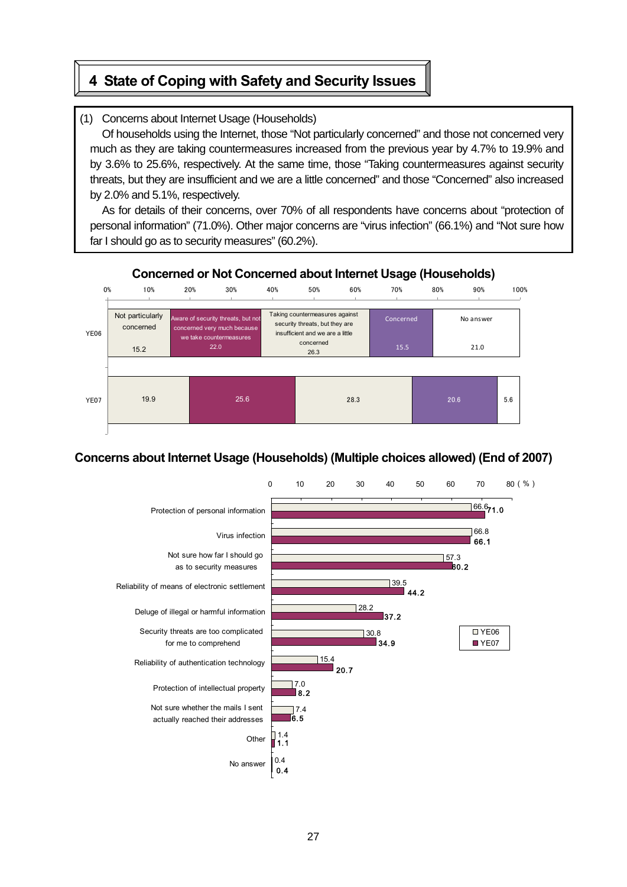# **4 State of Coping with Safety and Security Issues**

## (1) Concerns about Internet Usage (Households)

Of households using the Internet, those "Not particularly concerned" and those not concerned very much as they are taking countermeasures increased from the previous year by 4.7% to 19.9% and by 3.6% to 25.6%, respectively. At the same time, those "Taking countermeasures against security threats, but they are insufficient and we are a little concerned" and those "Concerned" also increased by 2.0% and 5.1%, respectively.

As for details of their concerns, over 70% of all respondents have concerns about "protection of personal information" (71.0%). Other major concerns are "virus infection" (66.1%) and "Not sure how far I should go as to security measures" (60.2%).



## **Concerned or Not Concerned about Internet Usage (Households)**

Ξ

## **Concerns about Internet Usage (Households) (Multiple choices allowed) (End of 2007)**

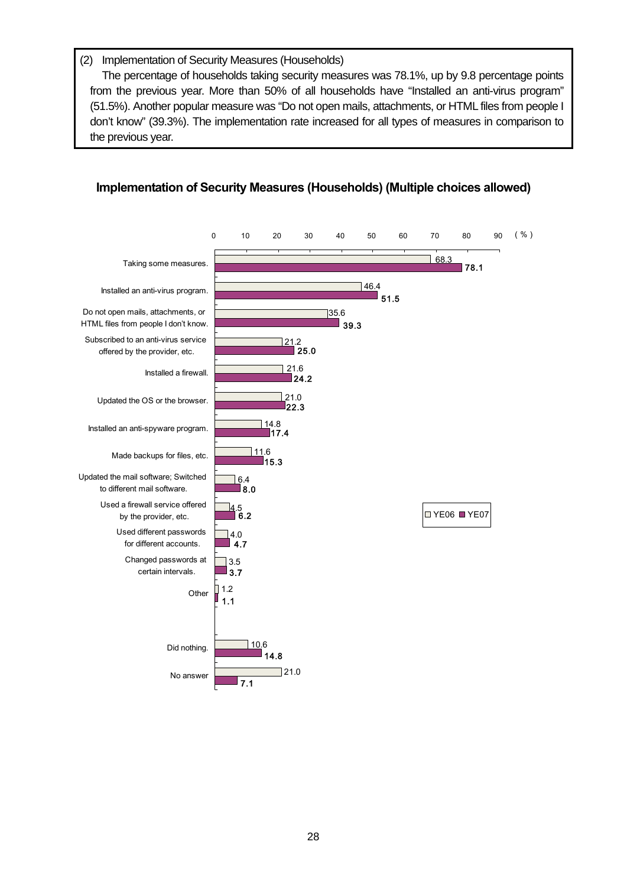## (2) Implementation of Security Measures (Households)

The percentage of households taking security measures was 78.1%, up by 9.8 percentage points from the previous year. More than 50% of all households have "Installed an anti-virus program" (51.5%). Another popular measure was "Do not open mails, attachments, or HTML files from people I don't know" (39.3%). The implementation rate increased for all types of measures in comparison to the previous year.



## **Implementation of Security Measures (Households) (Multiple choices allowed)**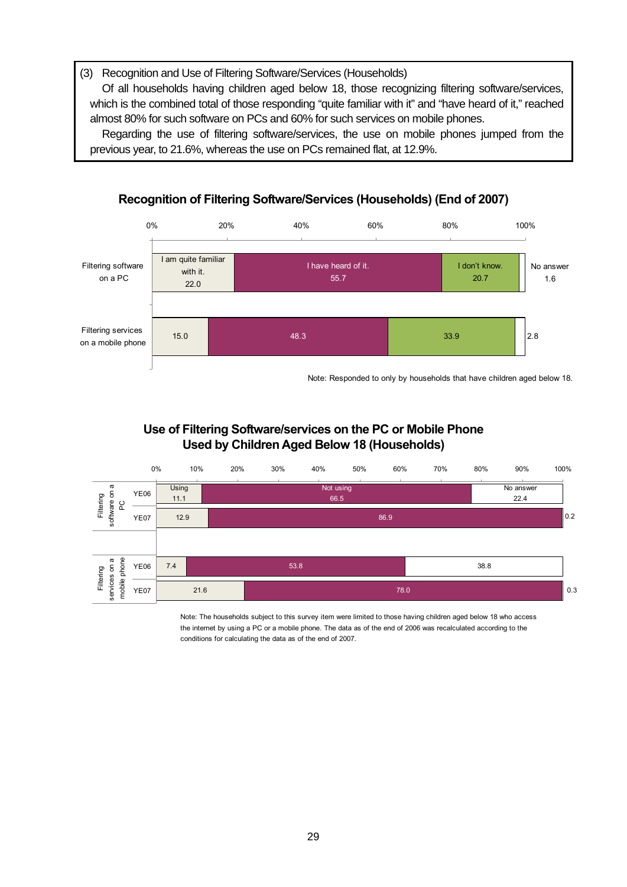(3) Recognition and Use of Filtering Software/Services (Households)

Of all households having children aged below 18, those recognizing filtering software/services, which is the combined total of those responding "quite familiar with it" and "have heard of it," reached almost 80% for such software on PCs and 60% for such services on mobile phones.

Regarding the use of filtering software/services, the use on mobile phones jumped from the previous year, to 21.6%, whereas the use on PCs remained flat, at 12.9%.



## **Recognition of Filtering Software/Services (Households) (End of 2007)**

Note: Responded to only by households that have children aged below 18.

## **Use of Filtering Software/services on the PC or Mobile Phone Used by Children Aged Below 18 (Households)**



Note: The households subject to this survey item were limited to those having children aged below 18 who access the internet by using a PC or a mobile phone. The data as of the end of 2006 was recalculated according to the conditions for calculating the data as of the end of 2007.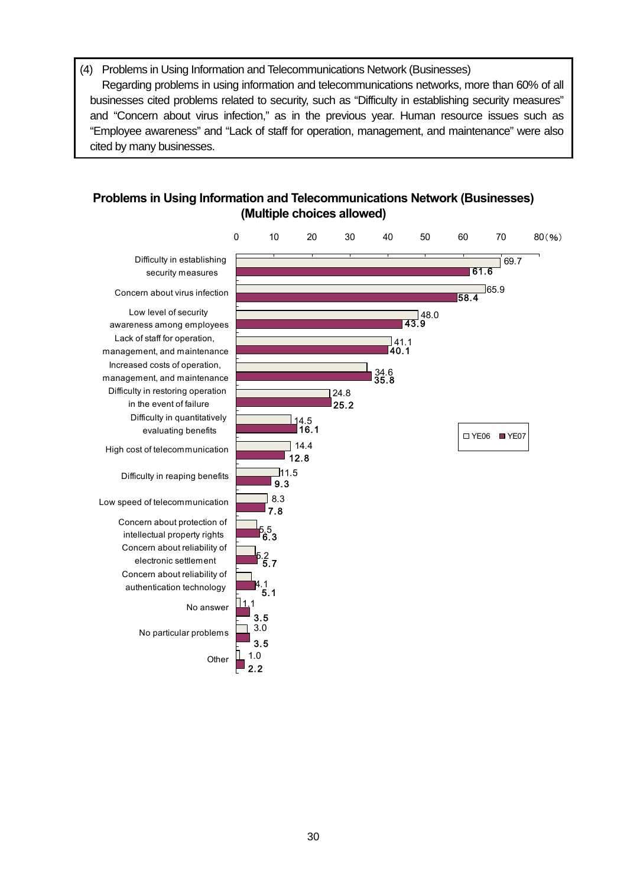(4) Problems in Using Information and Telecommunications Network (Businesses) Regarding problems in using information and telecommunications networks, more than 60% of all businesses cited problems related to security, such as "Difficulty in establishing security measures" and "Concern about virus infection," as in the previous year. Human resource issues such as "Employee awareness" and "Lack of staff for operation, management, and maintenance" were also cited by many businesses.

## **Problems in Using Information and Telecommunications Network (Businesses) (Multiple choices allowed)**

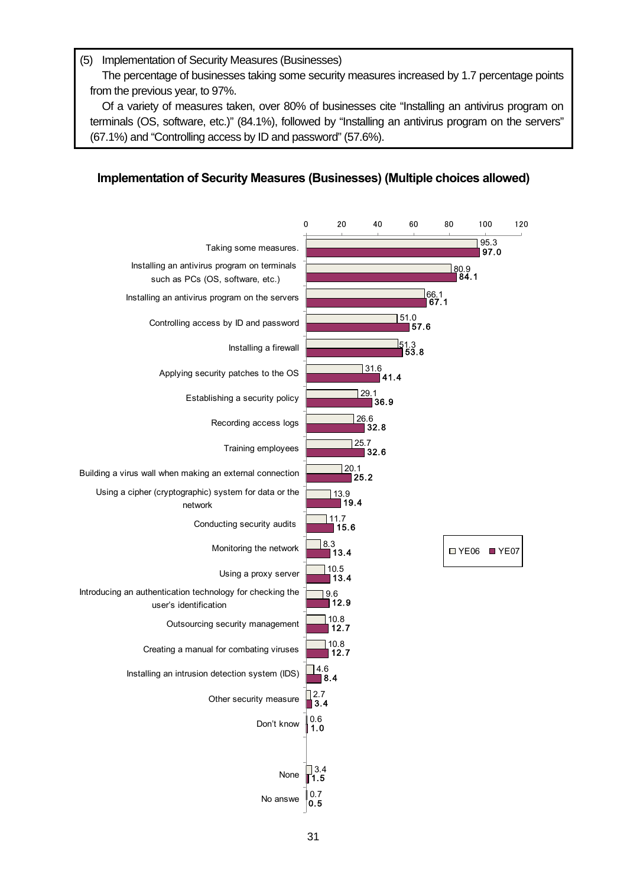#### (5) Implementation of Security Measures (Businesses)

 $\overline{\phantom{a}}$ 

The percentage of businesses taking some security measures increased by 1.7 percentage points from the previous year, to 97%.

Of a variety of measures taken, over 80% of businesses cite "Installing an antivirus program on terminals (OS, software, etc.)" (84.1%), followed by "Installing an antivirus program on the servers" (67.1%) and "Controlling access by ID and password" (57.6%).

## **Implementation of Security Measures (Businesses) (Multiple choices allowed)**